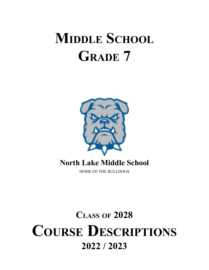# **MIDDLE SCHOOL GRADE 7**



## **North Lake Middle School**

HOME OF THE BULLDOGS

## **CLASS OF 2028 COURSE DESCRIPTIONS 2022 / 2023**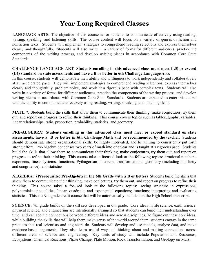## **Year-Long Required Classes**

**LANGUAGE ARTS:** The objective of this course is for students to communicate effectively using reading, writing, speaking, and listening skills. The course content will focus on a variety of genres of fiction and nonfiction texts. Students will implement strategies to comprehend reading selections and express themselves clearly and thoughtfully. Students will also write in a variety of forms for different audiences, practice the components of the writing process, and develop writing pieces in accordance with Common Core State **Standards** 

#### **CHALLENGE LANGUAGE ART: Students enrolling in this advanced class must meet (L3) or exceed (L4) standard on state assessments and have a B or better in 6th Challenge Language Arts.**

In this course, students will demonstrate their ability and willingness to work independently and collaboratively at an accelerated pace. They will implement strategies to comprehend reading selections, express themselves clearly and thoughtfully, problem solve, and work at a rigorous pace with complex texts. Students will also write in a variety of forms for different audiences, practice the components of the writing process, and develop writing pieces in accordance with Common Core State Standards. Students are expected to enter this course with the ability to communicate effectively using reading, writing, speaking, and listening skills.

**MATH 7:** Students build the skills that allow them to communicate their thinking, make conjectures, try them out, and report on progress to refine their thinking. This course covers topics such as tables, graphs, variables, linear relationships, ratio, proportion, probability, statistics, and geometry.

**PRE-ALGEBRA: Students enrolling in this advanced class must meet or exceed standard on state assessments, have a B or better in 6th Challenge Math and be recommended by the teacher.** Students should demonstrate strong organizational skills, be highly motivated, and be willing to consistently put forth strong effort. Pre-Algebra condenses two years of math into one year and is taught at a rigorous pace. Students build the skills that allow them to communicate their thinking, make conjectures, try them out, and report on progress to refine their thinking. This course takes a focused look at the following topics: irrational numbers, exponents, linear systems, functions, Pythagorean Theorem, transformational geometry (including similarity and congruence), and statistics.

**ALGEBRA: (Prerequisite: Pre-Algebra in the 6th Grade with a B or better)** Students build the skills that allow them to communicate their thinking, make conjectures, try them out, and report on progress to refine their thinking. This course takes a focused look at the following topics: seeing structure in expressions; polynomials; inequalities; linear, quadratic, and exponential equations; functions; interpreting and evaluating statistics. This is a 9th grade credit course that will be automatically included on the High School transcript.

**SCIENCE:** 7th grade builds on the skill sets developed in 6th grade. Core ideas in life science, earth science, physical science, and engineering are intentionally arranged so that students can build their understanding over time, and can see the connections between different ideas and across disciplines. To figure out these core ideas, while building the skills that will help them make sense of the world around them, students engage in the same practices that real scientists and engineers do. Students will develop and use models, analyze data, and make evidence-based arguments. They also learn useful ways of thinking about and making connections across different areas of science and engineering. Key units of study will include Population and Resources, Ecosystems, Chemical Reactions, Phase Change, Plate Motion, Rock Transformation, and Geology on Mars.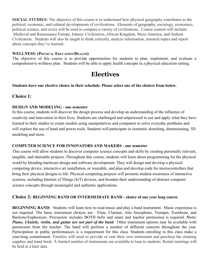**SOCIAL STUDIES:** The objective of this course is to understand how physical geography contributes to the political, economic, and cultural developments of civilizations. Elements of geography, sociology, economics, political science, and civics will be used to compare a variety of civilizations. Course content will include: Medieval and Renaissance Europe, Islamic Civilization, African Kingdom, Meso-America, and Andean Civilization. Students will also be taught to think critically, analyze information, research topics and report about concepts they've learned.

#### **WELLNESS: (PHYSICAL EDUCATION/HEALTH)**

The objective of this course is to provide opportunities for students to plan, implement, and evaluate a comprehensive wellness plan. Students will be able to apply health concepts in a physical education setting.

## **Electives**

**Students have one elective choice in their schedule. Please select one of the choices from below.**

#### **Choice 1:**

#### **DESIGN AND MODELING - one semester**

In this course, students will discover the design process and develop an understanding of the influence of creativity and innovation in their lives. Students are challenged and empowered to use and apply what they have learned in their studies to create models using manipulatives and computers to solve everyday problems and will explore the use of hand and power tools. Students will participate in isometric sketching, dimensioning, 3D modeling and more.

#### **COMPUTER SCIENCE FOR INNOVATORS AND MAKERS - one semester**

This course will allow students to discover computer science concepts and skills by creating personally relevant, tangible, and shareable projects. Throughout this course, students will learn about programming for the physical world by blending hardware design and software development. They will design and develop a physical computing device, interactive art installation, or wearable, and plan and develop code for microcontrollers that bring their physical designs to life. Physical computing projects will promote student awareness of interactive systems, including Internet of Things (IoT) devices, and broaden their understanding of abstract computer science concepts through meaningful and authentic applications.

#### **Choice 2: BEGINNING BAND OR INTERMEDIATE BAND - choice of one year long course**

**BEGINNING BAND:** Students will learn how to read music and play a band instrument. Music experience is not required. The basic instrument choices are: Flute, Clarinet, Alto Saxophone, Trumpet, Trombone, and Baritone/Euphonium. Percussion includes BOTH bells and snare and teacher permission is required. *NOTE: Piano, Ukulele, violin, and guitar are not part of the band*. Other instrument options may be available with permission from the teacher. The band will perform a number of different concerts throughout the year. Participation in public performances is a requirement for this class. Students enrolling in this class make a year-long commitment. Families will need to provide or rent their own instrument and purchase the cleaning supplies and band book. A limited number of instruments are available to loan to students. Rental meetings will be held at a later date.